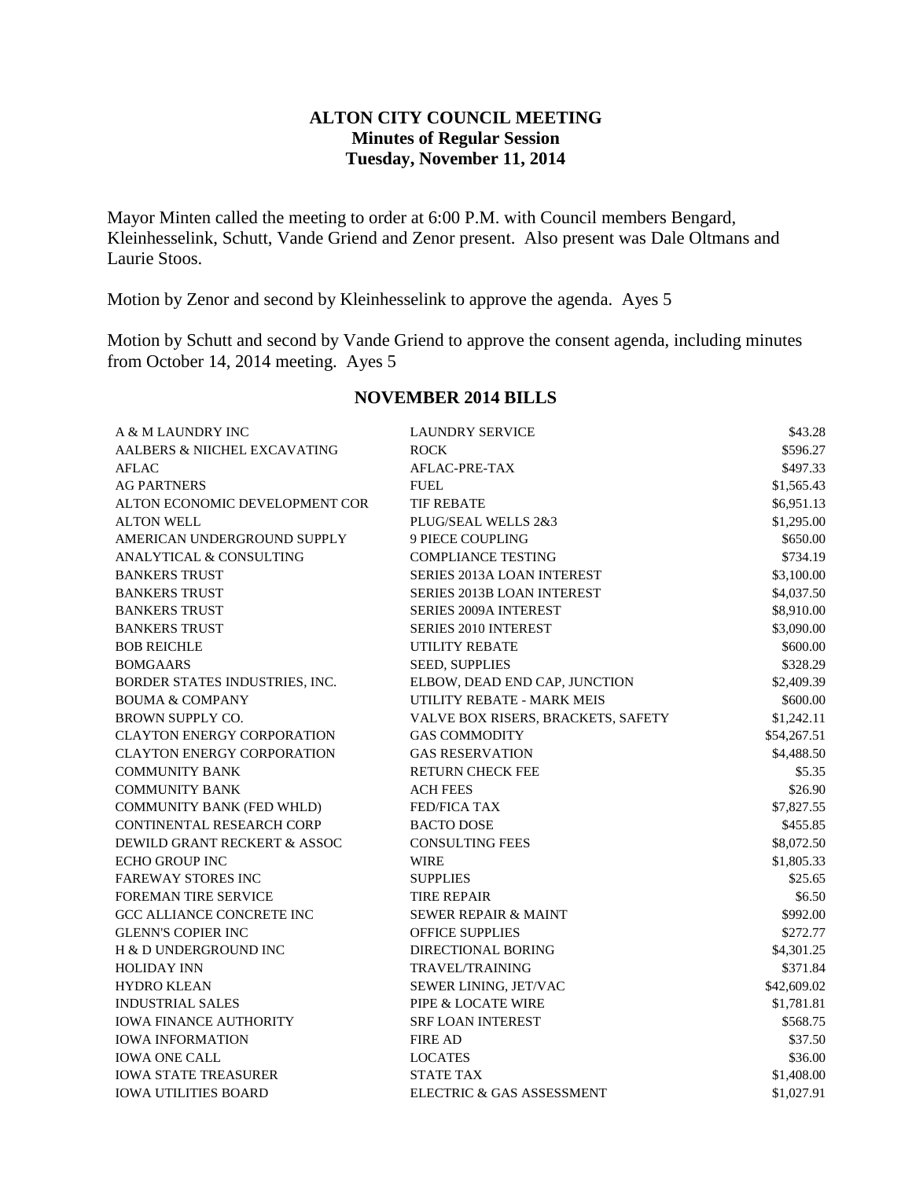### **ALTON CITY COUNCIL MEETING Minutes of Regular Session Tuesday, November 11, 2014**

Mayor Minten called the meeting to order at 6:00 P.M. with Council members Bengard, Kleinhesselink, Schutt, Vande Griend and Zenor present. Also present was Dale Oltmans and Laurie Stoos.

Motion by Zenor and second by Kleinhesselink to approve the agenda. Ayes 5

Motion by Schutt and second by Vande Griend to approve the consent agenda, including minutes from October 14, 2014 meeting. Ayes 5

| A & M LAUNDRY INC                  | <b>LAUNDRY SERVICE</b>             | \$43.28     |
|------------------------------------|------------------------------------|-------------|
| AALBERS & NIICHEL EXCAVATING       | <b>ROCK</b>                        | \$596.27    |
| <b>AFLAC</b>                       | AFLAC-PRE-TAX                      | \$497.33    |
| <b>AG PARTNERS</b>                 | FUEL                               | \$1,565.43  |
| ALTON ECONOMIC DEVELOPMENT COR     | <b>TIF REBATE</b>                  | \$6,951.13  |
| <b>ALTON WELL</b>                  | PLUG/SEAL WELLS 2&3                | \$1,295.00  |
| AMERICAN UNDERGROUND SUPPLY        | <b>9 PIECE COUPLING</b>            | \$650.00    |
| <b>ANALYTICAL &amp; CONSULTING</b> | <b>COMPLIANCE TESTING</b>          | \$734.19    |
| <b>BANKERS TRUST</b>               | <b>SERIES 2013A LOAN INTEREST</b>  | \$3,100.00  |
| <b>BANKERS TRUST</b>               | <b>SERIES 2013B LOAN INTEREST</b>  | \$4,037.50  |
| <b>BANKERS TRUST</b>               | <b>SERIES 2009A INTEREST</b>       | \$8,910.00  |
| <b>BANKERS TRUST</b>               | SERIES 2010 INTEREST               | \$3,090.00  |
| <b>BOB REICHLE</b>                 | <b>UTILITY REBATE</b>              | \$600.00    |
| <b>BOMGAARS</b>                    | <b>SEED, SUPPLIES</b>              | \$328.29    |
| BORDER STATES INDUSTRIES, INC.     | ELBOW, DEAD END CAP, JUNCTION      | \$2,409.39  |
| <b>BOUMA &amp; COMPANY</b>         | UTILITY REBATE - MARK MEIS         | \$600.00    |
| <b>BROWN SUPPLY CO.</b>            | VALVE BOX RISERS, BRACKETS, SAFETY | \$1,242.11  |
| <b>CLAYTON ENERGY CORPORATION</b>  | <b>GAS COMMODITY</b>               | \$54,267.51 |
| <b>CLAYTON ENERGY CORPORATION</b>  | <b>GAS RESERVATION</b>             | \$4,488.50  |
| <b>COMMUNITY BANK</b>              | <b>RETURN CHECK FEE</b>            | \$5.35      |
| <b>COMMUNITY BANK</b>              | <b>ACH FEES</b>                    | \$26.90     |
| COMMUNITY BANK (FED WHLD)          | FED/FICA TAX                       | \$7,827.55  |
| CONTINENTAL RESEARCH CORP          | <b>BACTO DOSE</b>                  | \$455.85    |
| DEWILD GRANT RECKERT & ASSOC       | <b>CONSULTING FEES</b>             | \$8,072.50  |
| <b>ECHO GROUP INC</b>              | <b>WIRE</b>                        | \$1,805.33  |
| <b>FAREWAY STORES INC</b>          | <b>SUPPLIES</b>                    | \$25.65     |
| <b>FOREMAN TIRE SERVICE</b>        | <b>TIRE REPAIR</b>                 | \$6.50      |
| <b>GCC ALLIANCE CONCRETE INC</b>   | <b>SEWER REPAIR &amp; MAINT</b>    | \$992.00    |
| <b>GLENN'S COPIER INC</b>          | <b>OFFICE SUPPLIES</b>             | \$272.77    |
| H & D UNDERGROUND INC              | <b>DIRECTIONAL BORING</b>          | \$4,301.25  |
| <b>HOLIDAY INN</b>                 | TRAVEL/TRAINING                    | \$371.84    |
| <b>HYDRO KLEAN</b>                 | SEWER LINING, JET/VAC              | \$42,609.02 |
| <b>INDUSTRIAL SALES</b>            | PIPE & LOCATE WIRE                 | \$1,781.81  |
| <b>IOWA FINANCE AUTHORITY</b>      | <b>SRF LOAN INTEREST</b>           | \$568.75    |
| <b>IOWA INFORMATION</b>            | <b>FIRE AD</b>                     | \$37.50     |
| <b>IOWA ONE CALL</b>               | <b>LOCATES</b>                     | \$36.00     |
| <b>IOWA STATE TREASURER</b>        | <b>STATE TAX</b>                   | \$1,408.00  |
| <b>IOWA UTILITIES BOARD</b>        | ELECTRIC & GAS ASSESSMENT          | \$1,027.91  |

#### **NOVEMBER 2014 BILLS**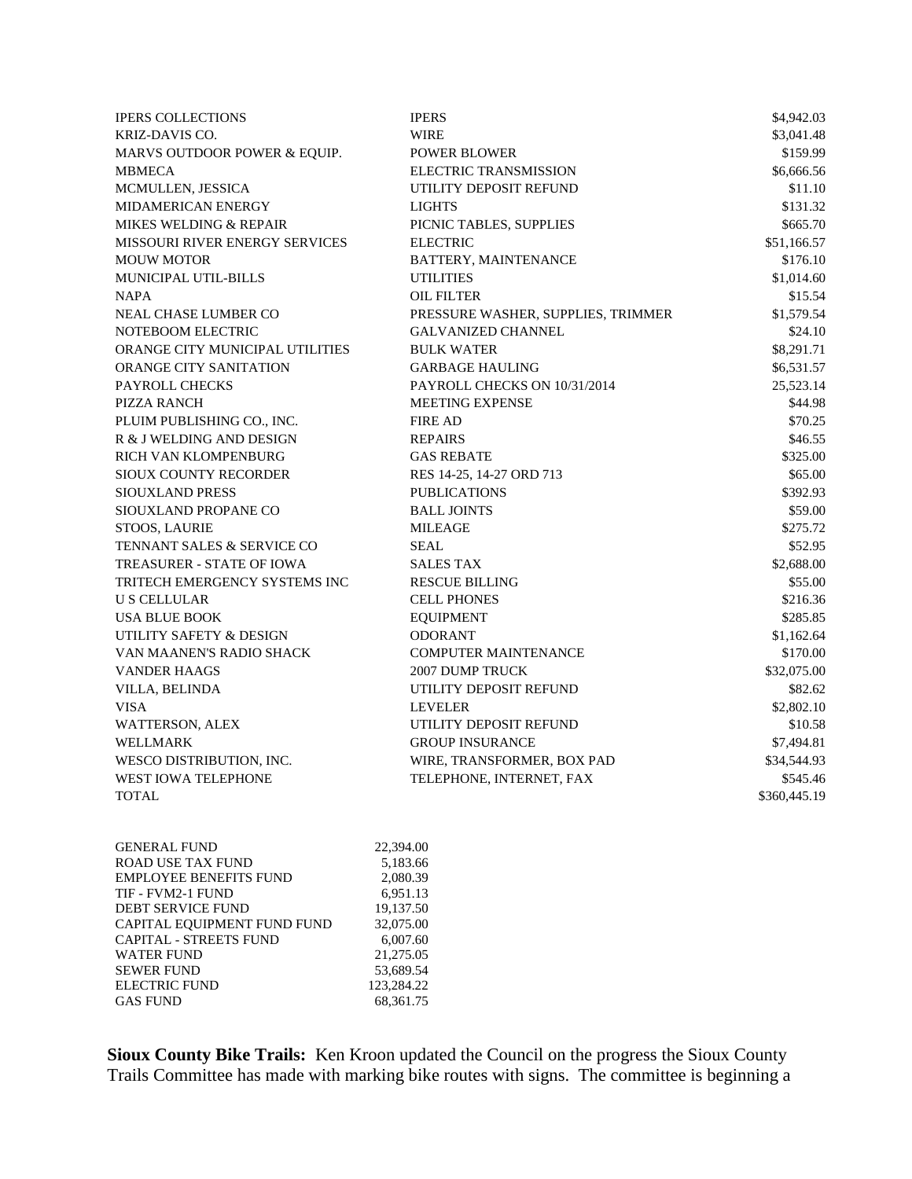| <b>IPERS COLLECTIONS</b>              | <b>IPERS</b>                       | \$4,942.03   |
|---------------------------------------|------------------------------------|--------------|
| KRIZ-DAVIS CO.                        | <b>WIRE</b>                        | \$3,041.48   |
| MARVS OUTDOOR POWER & EQUIP.          | <b>POWER BLOWER</b>                | \$159.99     |
| <b>MBMECA</b>                         | ELECTRIC TRANSMISSION              | \$6,666.56   |
| MCMULLEN, JESSICA                     | UTILITY DEPOSIT REFUND             | \$11.10      |
| MIDAMERICAN ENERGY                    | <b>LIGHTS</b>                      | \$131.32     |
| <b>MIKES WELDING &amp; REPAIR</b>     | PICNIC TABLES, SUPPLIES            | \$665.70     |
| <b>MISSOURI RIVER ENERGY SERVICES</b> | <b>ELECTRIC</b>                    | \$51,166.57  |
| <b>MOUW MOTOR</b>                     | BATTERY, MAINTENANCE               | \$176.10     |
| <b>MUNICIPAL UTIL-BILLS</b>           | <b>UTILITIES</b>                   | \$1,014.60   |
| <b>NAPA</b>                           | <b>OIL FILTER</b>                  | \$15.54      |
| NEAL CHASE LUMBER CO                  | PRESSURE WASHER, SUPPLIES, TRIMMER | \$1,579.54   |
| NOTEBOOM ELECTRIC                     | <b>GALVANIZED CHANNEL</b>          | \$24.10      |
| ORANGE CITY MUNICIPAL UTILITIES       | <b>BULK WATER</b>                  | \$8,291.71   |
| <b>ORANGE CITY SANITATION</b>         | <b>GARBAGE HAULING</b>             | \$6,531.57   |
| PAYROLL CHECKS                        | PAYROLL CHECKS ON 10/31/2014       | 25,523.14    |
| PIZZA RANCH                           | MEETING EXPENSE                    | \$44.98      |
| PLUIM PUBLISHING CO., INC.            | <b>FIRE AD</b>                     | \$70.25      |
| R & J WELDING AND DESIGN              | <b>REPAIRS</b>                     | \$46.55      |
| RICH VAN KLOMPENBURG                  | <b>GAS REBATE</b>                  | \$325.00     |
| SIOUX COUNTY RECORDER                 | RES 14-25, 14-27 ORD 713           | \$65.00      |
| <b>SIOUXLAND PRESS</b>                | <b>PUBLICATIONS</b>                | \$392.93     |
| SIOUXLAND PROPANE CO                  | <b>BALL JOINTS</b>                 | \$59.00      |
| STOOS, LAURIE                         | <b>MILEAGE</b>                     | \$275.72     |
| TENNANT SALES & SERVICE CO            | <b>SEAL</b>                        | \$52.95      |
| <b>TREASURER - STATE OF IOWA</b>      | <b>SALES TAX</b>                   | \$2,688.00   |
| TRITECH EMERGENCY SYSTEMS INC         | <b>RESCUE BILLING</b>              | \$55.00      |
| <b>U S CELLULAR</b>                   | <b>CELL PHONES</b>                 | \$216.36     |
| <b>USA BLUE BOOK</b>                  | <b>EQUIPMENT</b>                   | \$285.85     |
| UTILITY SAFETY & DESIGN               | <b>ODORANT</b>                     | \$1,162.64   |
| VAN MAANEN'S RADIO SHACK              | <b>COMPUTER MAINTENANCE</b>        | \$170.00     |
| <b>VANDER HAAGS</b>                   | 2007 DUMP TRUCK                    | \$32,075.00  |
| VILLA, BELINDA                        | UTILITY DEPOSIT REFUND             | \$82.62      |
| <b>VISA</b>                           | <b>LEVELER</b>                     | \$2,802.10   |
| WATTERSON, ALEX                       | UTILITY DEPOSIT REFUND             | \$10.58      |
| WELLMARK                              | <b>GROUP INSURANCE</b>             | \$7,494.81   |
| WESCO DISTRIBUTION, INC.              | WIRE, TRANSFORMER, BOX PAD         | \$34,544.93  |
| WEST IOWA TELEPHONE                   | TELEPHONE, INTERNET, FAX           | \$545.46     |
| <b>TOTAL</b>                          |                                    | \$360,445.19 |

| <b>GENERAL FUND</b>           | 22,394.00   |
|-------------------------------|-------------|
| <b>ROAD USE TAX FUND</b>      | 5,183.66    |
| <b>EMPLOYEE BENEFITS FUND</b> | 2,080.39    |
| TIF - FVM2-1 FUND             | 6.951.13    |
| <b>DEBT SERVICE FUND</b>      | 19,137.50   |
| CAPITAL EQUIPMENT FUND FUND   | 32,075.00   |
| <b>CAPITAL - STREETS FUND</b> | 6,007.60    |
| <b>WATER FUND</b>             | 21,275.05   |
| <b>SEWER FUND</b>             | 53,689.54   |
| <b>ELECTRIC FUND</b>          | 123,284.22  |
| <b>GAS FUND</b>               | 68, 361. 75 |
|                               |             |

**Sioux County Bike Trails:** Ken Kroon updated the Council on the progress the Sioux County Trails Committee has made with marking bike routes with signs. The committee is beginning a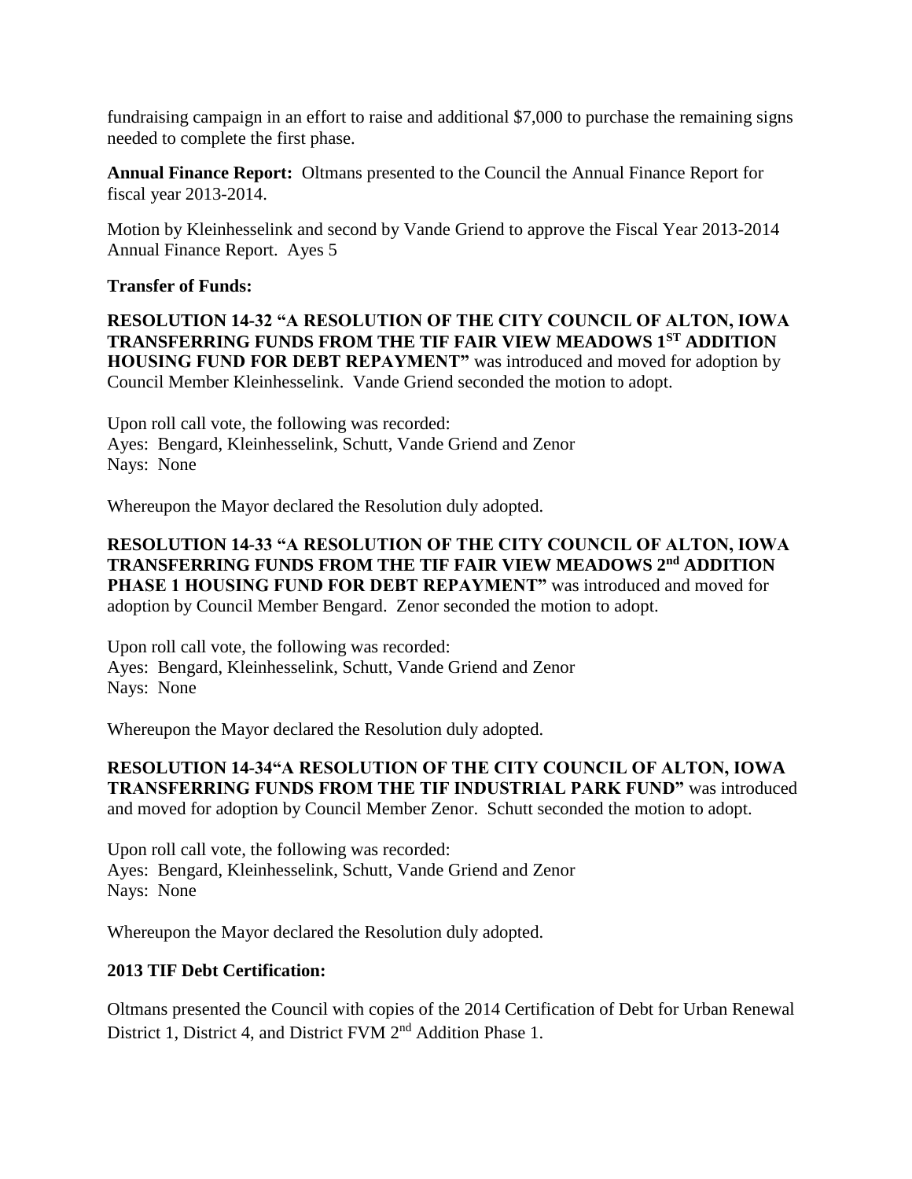fundraising campaign in an effort to raise and additional \$7,000 to purchase the remaining signs needed to complete the first phase.

**Annual Finance Report:** Oltmans presented to the Council the Annual Finance Report for fiscal year 2013-2014.

Motion by Kleinhesselink and second by Vande Griend to approve the Fiscal Year 2013-2014 Annual Finance Report. Ayes 5

### **Transfer of Funds:**

**RESOLUTION 14-32 "A RESOLUTION OF THE CITY COUNCIL OF ALTON, IOWA TRANSFERRING FUNDS FROM THE TIF FAIR VIEW MEADOWS 1ST ADDITION HOUSING FUND FOR DEBT REPAYMENT"** was introduced and moved for adoption by Council Member Kleinhesselink. Vande Griend seconded the motion to adopt.

Upon roll call vote, the following was recorded: Ayes: Bengard, Kleinhesselink, Schutt, Vande Griend and Zenor Nays: None

Whereupon the Mayor declared the Resolution duly adopted.

### **RESOLUTION 14-33 "A RESOLUTION OF THE CITY COUNCIL OF ALTON, IOWA TRANSFERRING FUNDS FROM THE TIF FAIR VIEW MEADOWS 2nd ADDITION PHASE 1 HOUSING FUND FOR DEBT REPAYMENT"** was introduced and moved for adoption by Council Member Bengard. Zenor seconded the motion to adopt.

Upon roll call vote, the following was recorded: Ayes: Bengard, Kleinhesselink, Schutt, Vande Griend and Zenor Nays: None

Whereupon the Mayor declared the Resolution duly adopted.

### **RESOLUTION 14-34"A RESOLUTION OF THE CITY COUNCIL OF ALTON, IOWA TRANSFERRING FUNDS FROM THE TIF INDUSTRIAL PARK FUND"** was introduced and moved for adoption by Council Member Zenor. Schutt seconded the motion to adopt.

Upon roll call vote, the following was recorded: Ayes: Bengard, Kleinhesselink, Schutt, Vande Griend and Zenor Nays: None

Whereupon the Mayor declared the Resolution duly adopted.

# **2013 TIF Debt Certification:**

Oltmans presented the Council with copies of the 2014 Certification of Debt for Urban Renewal District 1, District 4, and District FVM 2<sup>nd</sup> Addition Phase 1.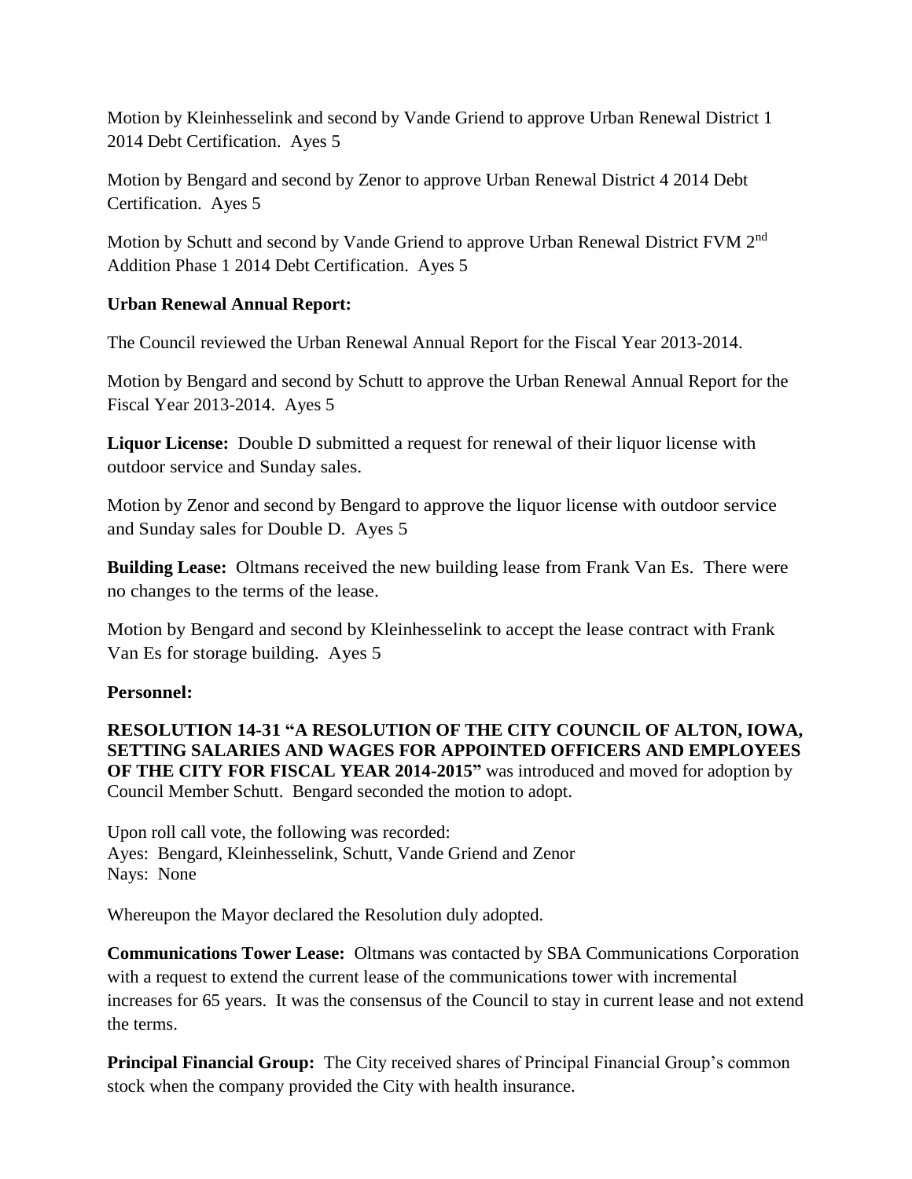Motion by Kleinhesselink and second by Vande Griend to approve Urban Renewal District 1 2014 Debt Certification. Ayes 5

Motion by Bengard and second by Zenor to approve Urban Renewal District 4 2014 Debt Certification. Ayes 5

Motion by Schutt and second by Vande Griend to approve Urban Renewal District FVM 2<sup>nd</sup> Addition Phase 1 2014 Debt Certification. Ayes 5

# **Urban Renewal Annual Report:**

The Council reviewed the Urban Renewal Annual Report for the Fiscal Year 2013-2014.

Motion by Bengard and second by Schutt to approve the Urban Renewal Annual Report for the Fiscal Year 2013-2014. Ayes 5

**Liquor License:** Double D submitted a request for renewal of their liquor license with outdoor service and Sunday sales.

Motion by Zenor and second by Bengard to approve the liquor license with outdoor service and Sunday sales for Double D. Ayes 5

**Building Lease:** Oltmans received the new building lease from Frank Van Es. There were no changes to the terms of the lease.

Motion by Bengard and second by Kleinhesselink to accept the lease contract with Frank Van Es for storage building. Ayes 5

#### **Personnel:**

**RESOLUTION 14-31 "A RESOLUTION OF THE CITY COUNCIL OF ALTON, IOWA, SETTING SALARIES AND WAGES FOR APPOINTED OFFICERS AND EMPLOYEES OF THE CITY FOR FISCAL YEAR 2014-2015"** was introduced and moved for adoption by Council Member Schutt. Bengard seconded the motion to adopt.

Upon roll call vote, the following was recorded: Ayes: Bengard, Kleinhesselink, Schutt, Vande Griend and Zenor Nays: None

Whereupon the Mayor declared the Resolution duly adopted.

**Communications Tower Lease:** Oltmans was contacted by SBA Communications Corporation with a request to extend the current lease of the communications tower with incremental increases for 65 years. It was the consensus of the Council to stay in current lease and not extend the terms.

**Principal Financial Group:** The City received shares of Principal Financial Group's common stock when the company provided the City with health insurance.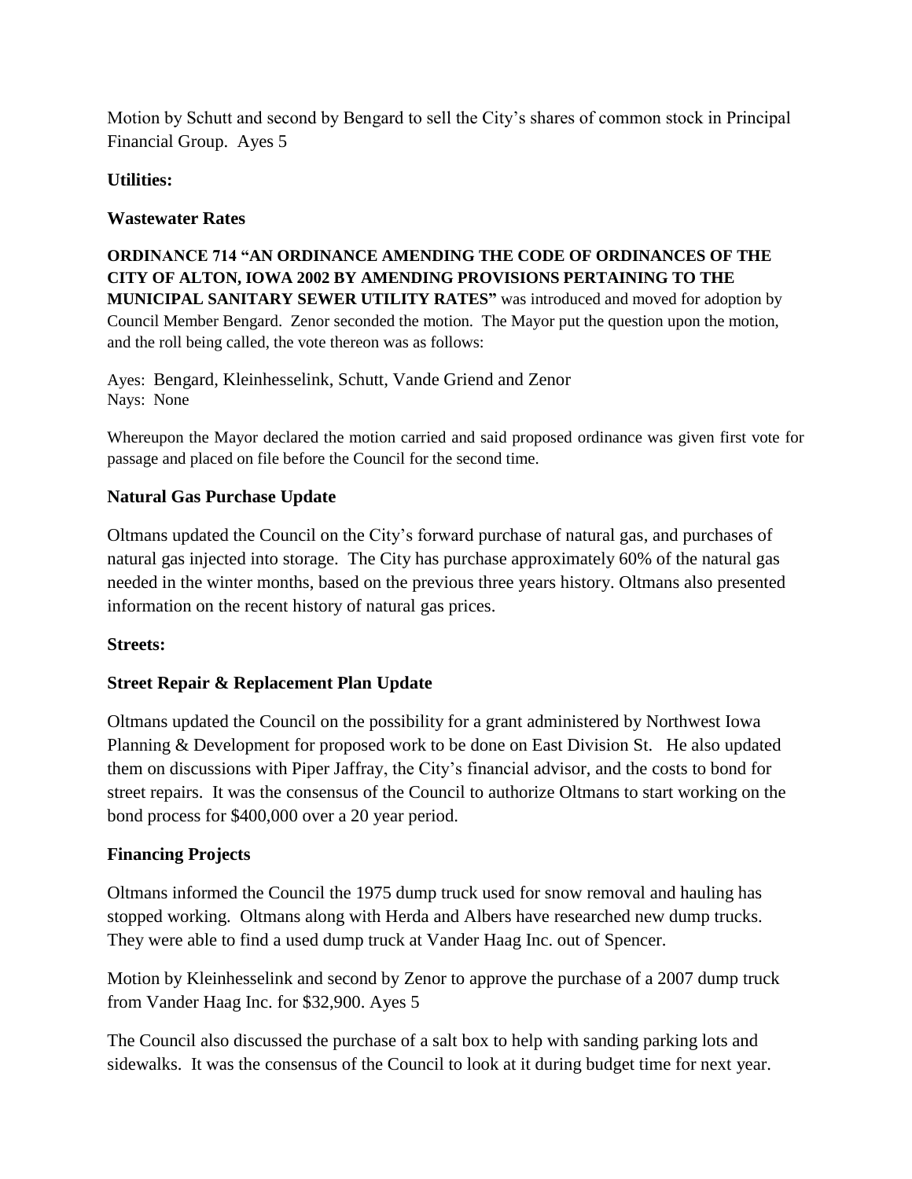Motion by Schutt and second by Bengard to sell the City's shares of common stock in Principal Financial Group. Ayes 5

# **Utilities:**

# **Wastewater Rates**

**ORDINANCE 714 "AN ORDINANCE AMENDING THE CODE OF ORDINANCES OF THE CITY OF ALTON, IOWA 2002 BY AMENDING PROVISIONS PERTAINING TO THE MUNICIPAL SANITARY SEWER UTILITY RATES"** was introduced and moved for adoption by Council Member Bengard. Zenor seconded the motion. The Mayor put the question upon the motion, and the roll being called, the vote thereon was as follows:

Ayes: Bengard, Kleinhesselink, Schutt, Vande Griend and Zenor Nays: None

Whereupon the Mayor declared the motion carried and said proposed ordinance was given first vote for passage and placed on file before the Council for the second time.

# **Natural Gas Purchase Update**

Oltmans updated the Council on the City's forward purchase of natural gas, and purchases of natural gas injected into storage. The City has purchase approximately 60% of the natural gas needed in the winter months, based on the previous three years history. Oltmans also presented information on the recent history of natural gas prices.

# **Streets:**

# **Street Repair & Replacement Plan Update**

Oltmans updated the Council on the possibility for a grant administered by Northwest Iowa Planning & Development for proposed work to be done on East Division St. He also updated them on discussions with Piper Jaffray, the City's financial advisor, and the costs to bond for street repairs. It was the consensus of the Council to authorize Oltmans to start working on the bond process for \$400,000 over a 20 year period.

# **Financing Projects**

Oltmans informed the Council the 1975 dump truck used for snow removal and hauling has stopped working. Oltmans along with Herda and Albers have researched new dump trucks. They were able to find a used dump truck at Vander Haag Inc. out of Spencer.

Motion by Kleinhesselink and second by Zenor to approve the purchase of a 2007 dump truck from Vander Haag Inc. for \$32,900. Ayes 5

The Council also discussed the purchase of a salt box to help with sanding parking lots and sidewalks. It was the consensus of the Council to look at it during budget time for next year.